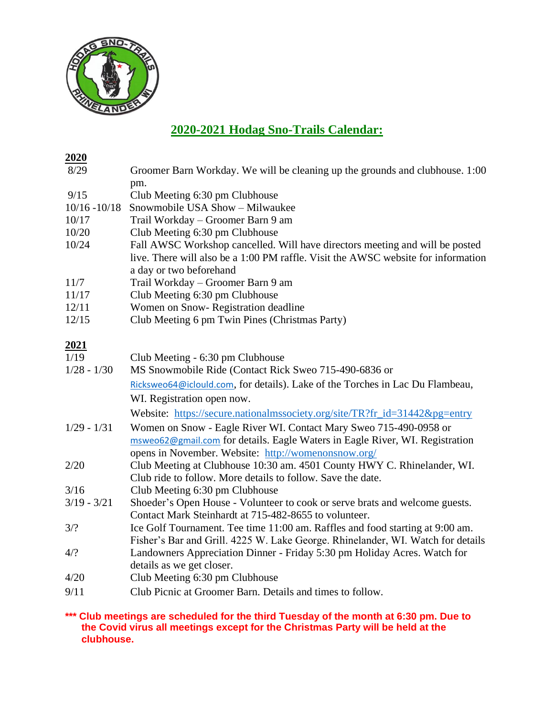

## **2020-2021 Hodag Sno-Trails Calendar:**

| <u>2020</u>     |                                                                                                                                                                                                          |
|-----------------|----------------------------------------------------------------------------------------------------------------------------------------------------------------------------------------------------------|
| 8/29            | Groomer Barn Workday. We will be cleaning up the grounds and clubhouse. 1:00                                                                                                                             |
|                 | pm.                                                                                                                                                                                                      |
| 9/15            | Club Meeting 6:30 pm Clubhouse                                                                                                                                                                           |
| $10/16 - 10/18$ | Snowmobile USA Show - Milwaukee                                                                                                                                                                          |
| 10/17           | Trail Workday – Groomer Barn 9 am                                                                                                                                                                        |
| 10/20           | Club Meeting 6:30 pm Clubhouse                                                                                                                                                                           |
| 10/24           | Fall AWSC Workshop cancelled. Will have directors meeting and will be posted<br>live. There will also be a 1:00 PM raffle. Visit the AWSC website for information<br>a day or two beforehand             |
| 11/7            | Trail Workday - Groomer Barn 9 am                                                                                                                                                                        |
| 11/17           | Club Meeting 6:30 pm Clubhouse                                                                                                                                                                           |
| 12/11           | Women on Snow-Registration deadline                                                                                                                                                                      |
| 12/15           | Club Meeting 6 pm Twin Pines (Christmas Party)                                                                                                                                                           |
| <u>2021</u>     |                                                                                                                                                                                                          |
| 1/19            | Club Meeting - 6:30 pm Clubhouse                                                                                                                                                                         |
| $1/28 - 1/30$   | MS Snowmobile Ride (Contact Rick Sweo 715-490-6836 or                                                                                                                                                    |
|                 | Ricksweo64@iclould.com, for details). Lake of the Torches in Lac Du Flambeau,                                                                                                                            |
|                 | WI. Registration open now.                                                                                                                                                                               |
|                 | Website: https://secure.nationalmssociety.org/site/TR?fr_id=31442&pg=entry                                                                                                                               |
| $1/29 - 1/31$   | Women on Snow - Eagle River WI. Contact Mary Sweo 715-490-0958 or<br>msweo62@gmail.com for details. Eagle Waters in Eagle River, WI. Registration<br>opens in November. Website: http://womenonsnow.org/ |
| 2/20            | Club Meeting at Clubhouse 10:30 am. 4501 County HWY C. Rhinelander, WI.<br>Club ride to follow. More details to follow. Save the date.                                                                   |
| 3/16            | Club Meeting 6:30 pm Clubhouse                                                                                                                                                                           |
| $3/19 - 3/21$   | Shoeder's Open House - Volunteer to cook or serve brats and welcome guests.                                                                                                                              |
|                 | Contact Mark Steinhardt at 715-482-8655 to volunteer.                                                                                                                                                    |
| 3/2             | Ice Golf Tournament. Tee time 11:00 am. Raffles and food starting at 9:00 am.<br>Fisher's Bar and Grill. 4225 W. Lake George. Rhinelander, WI. Watch for details                                         |
| 4/2             | Landowners Appreciation Dinner - Friday 5:30 pm Holiday Acres. Watch for<br>details as we get closer.                                                                                                    |
| 4/20            | Club Meeting 6:30 pm Clubhouse                                                                                                                                                                           |
| 9/11            | Club Picnic at Groomer Barn. Details and times to follow.                                                                                                                                                |

**\*\*\* Club meetings are scheduled for the third Tuesday of the month at 6:30 pm. Due to the Covid virus all meetings except for the Christmas Party will be held at the clubhouse.**